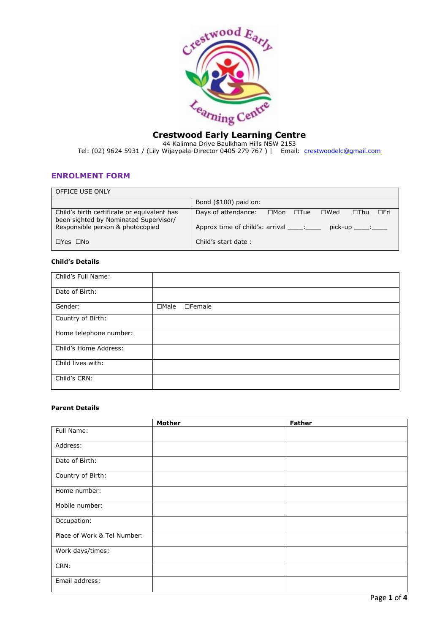

# **Crestwood Early Learning Centre**

44 Kalimna Drive Baulkham Hills NSW 2153 Tel: (02) 9624 5931 / (Lily Wijaypala-Director 0405 279 767 ) | Email: [crestwoodelc@gmail.com](mailto:crestwoodelc@gmail.com)

## **ENROLMENT FORM**

| OFFICE USE ONLY                                                                      |                                                                                           |
|--------------------------------------------------------------------------------------|-------------------------------------------------------------------------------------------|
|                                                                                      | Bond $($100)$ paid on:                                                                    |
| Child's birth certificate or equivalent has<br>been sighted by Nominated Supervisor/ | Days of attendance:<br>$\Box$ Fri<br>⊟Mon<br>$\square$ Wed<br>$\Box$ Thu<br>$\square$ Tue |
| Responsible person & photocopied                                                     | Approx time of child's: arrival :<br>$picture \$                                          |
| $\Box$ Yes $\Box$ No                                                                 | Child's start date:                                                                       |

## **Child's Details**

| Child's Full Name:     |                              |
|------------------------|------------------------------|
| Date of Birth:         |                              |
| Gender:                | $\Box$ Male<br>$\Box$ Female |
| Country of Birth:      |                              |
| Home telephone number: |                              |
| Child's Home Address:  |                              |
| Child lives with:      |                              |
| Child's CRN:           |                              |

### **Parent Details**

|                             | <b>Mother</b> | <b>Father</b> |
|-----------------------------|---------------|---------------|
| Full Name:                  |               |               |
| Address:                    |               |               |
| Date of Birth:              |               |               |
| Country of Birth:           |               |               |
| Home number:                |               |               |
| Mobile number:              |               |               |
| Occupation:                 |               |               |
| Place of Work & Tel Number: |               |               |
| Work days/times:            |               |               |
| CRN:                        |               |               |
| Email address:              |               |               |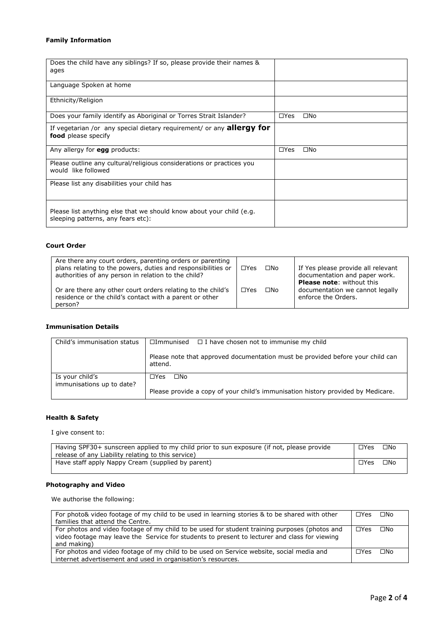# **Family Information**

| Does the child have any siblings? If so, please provide their names &<br>ages                              |                            |
|------------------------------------------------------------------------------------------------------------|----------------------------|
| Language Spoken at home                                                                                    |                            |
| Ethnicity/Religion                                                                                         |                            |
| Does your family identify as Aboriginal or Torres Strait Islander?                                         | $\Box$ Yes<br>$\square$ No |
| If vegetarian /or any special dietary requirement/ or any <b>allergy for</b><br><b>food</b> please specify |                            |
| Any allergy for egg products:                                                                              | $\Box$ Yes<br>$\square$ No |
| Please outline any cultural/religious considerations or practices you<br>would like followed               |                            |
| Please list any disabilities your child has                                                                |                            |
| Please list anything else that we should know about your child (e.g.<br>sleeping patterns, any fears etc): |                            |

### **Court Order**

| Are there any court orders, parenting orders or parenting<br>plans relating to the powers, duties and responsibilities or<br>authorities of any person in relation to the child? | $\Box$ Yes | $\square$ No | If Yes please provide all relevant<br>documentation and paper work.<br><b>Please note:</b> without this |
|----------------------------------------------------------------------------------------------------------------------------------------------------------------------------------|------------|--------------|---------------------------------------------------------------------------------------------------------|
| Or are there any other court orders relating to the child's<br>residence or the child's contact with a parent or other<br>person?                                                | $\Box$ Yes | $\square$ No | documentation we cannot legally<br>enforce the Orders.                                                  |

## **Immunisation Details**

| Child's immunisation status                  | $\Box$ Immunised $\Box$ I have chosen not to immunise my child                            |  |
|----------------------------------------------|-------------------------------------------------------------------------------------------|--|
|                                              | Please note that approved documentation must be provided before your child can<br>attend. |  |
| Is your child's<br>immunisations up to date? | $\Box Y$ es $\Box$ No                                                                     |  |
|                                              | Please provide a copy of your child's immunisation history provided by Medicare.          |  |

# **Health & Safety**

I give consent to:

| Having SPF30+ sunscreen applied to my child prior to sun exposure (if not, please provide<br>release of any Liability relating to this service) | $\Box$ Yes | $\square$ No |
|-------------------------------------------------------------------------------------------------------------------------------------------------|------------|--------------|
| Have staff apply Nappy Cream (supplied by parent)                                                                                               | $\Box$ Yes | $\square$ No |

## **Photography and Video**

We authorise the following:

| For photo& video footage of my child to be used in learning stories & to be shared with other                                                                                                                 | $\Box$ Yes | $\square$ No |
|---------------------------------------------------------------------------------------------------------------------------------------------------------------------------------------------------------------|------------|--------------|
| families that attend the Centre.                                                                                                                                                                              |            |              |
| For photos and video footage of my child to be used for student training purposes (photos and<br>video footage may leave the Service for students to present to lecturer and class for viewing<br>and making) | $\Box$ Yes | $\square$ No |
| For photos and video footage of my child to be used on Service website, social media and                                                                                                                      | $\Box$ Yes | $\square$ No |
| internet advertisement and used in organisation's resources.                                                                                                                                                  |            |              |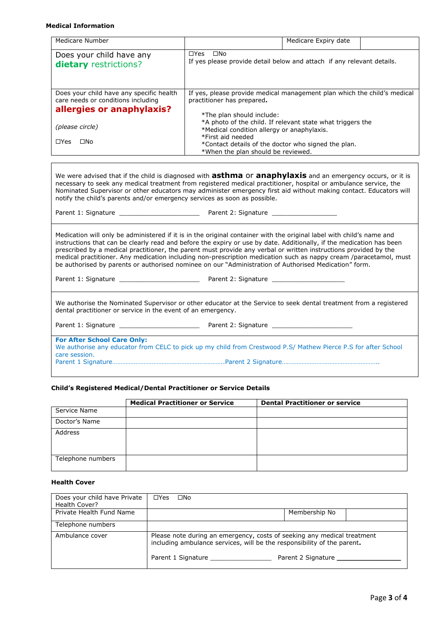#### **Medical Information**

| Medicare Number                                                                                                                | Medicare Expiry date                                                                                                                                                                                                                                                                                                                                                                                                                                                                                                                                                                            |  |
|--------------------------------------------------------------------------------------------------------------------------------|-------------------------------------------------------------------------------------------------------------------------------------------------------------------------------------------------------------------------------------------------------------------------------------------------------------------------------------------------------------------------------------------------------------------------------------------------------------------------------------------------------------------------------------------------------------------------------------------------|--|
| Does your child have any<br>dietary restrictions?                                                                              | □Yes □No<br>If yes please provide detail below and attach if any relevant details.                                                                                                                                                                                                                                                                                                                                                                                                                                                                                                              |  |
| Does your child have any specific health<br>care needs or conditions including<br>allergies or anaphylaxis?<br>(please circle) | If yes, please provide medical management plan which the child's medical<br>practitioner has prepared.<br>*The plan should include:<br>*A photo of the child. If relevant state what triggers the<br>*Medical condition allergy or anaphylaxis.<br>*First aid needed                                                                                                                                                                                                                                                                                                                            |  |
| $\Box$ Yes $\Box$ No                                                                                                           | *Contact details of the doctor who signed the plan.<br>*When the plan should be reviewed.                                                                                                                                                                                                                                                                                                                                                                                                                                                                                                       |  |
| notify the child's parents and/or emergency services as soon as possible.                                                      | We were advised that if the child is diagnosed with <b>asthma</b> Or <b>anaphylaxis</b> and an emergency occurs, or it is<br>necessary to seek any medical treatment from registered medical practitioner, hospital or ambulance service, the<br>Nominated Supervisor or other educators may administer emergency first aid without making contact. Educators will                                                                                                                                                                                                                              |  |
|                                                                                                                                | Medication will only be administered if it is in the original container with the original label with child's name and<br>instructions that can be clearly read and before the expiry or use by date. Additionally, if the medication has been<br>prescribed by a medical practitioner, the parent must provide any verbal or written instructions provided by the<br>medical practitioner. Any medication including non-prescription medication such as nappy cream /paracetamol, must<br>be authorised by parents or authorised nominee on our "Administration of Authorised Medication" form. |  |

We authorise the Nominated Supervisor or other educator at the Service to seek dental treatment from a registered dental practitioner or service in the event of an emergency.

Parent 1: Signature \_\_\_\_\_\_\_\_\_\_\_\_\_\_\_\_\_\_\_\_\_ Parent 2: Signature \_\_\_\_\_\_\_\_\_\_\_\_\_\_\_\_\_\_\_\_\_

**For After School Care Only:** We authorise any educator from CELC to pick up my child from Crestwood P.S/ Mathew Pierce P.S for after School care session. Parent 1 Signature…………………………………………………………..Parent 2 Signature…………………………………………………..

#### **Child's Registered Medical/Dental Practitioner or Service Details**

|                   | <b>Medical Practitioner or Service</b> | <b>Dental Practitioner or service</b> |
|-------------------|----------------------------------------|---------------------------------------|
| Service Name      |                                        |                                       |
| Doctor's Name     |                                        |                                       |
| Address           |                                        |                                       |
|                   |                                        |                                       |
| Telephone numbers |                                        |                                       |

## **Health Cover**

| Does your child have Private<br>Health Cover? | $\Box$ Yes<br>$\square$ No                                                                                                                         |                    |
|-----------------------------------------------|----------------------------------------------------------------------------------------------------------------------------------------------------|--------------------|
| Private Health Fund Name                      |                                                                                                                                                    | Membership No      |
| Telephone numbers                             |                                                                                                                                                    |                    |
| Ambulance cover                               | Please note during an emergency, costs of seeking any medical treatment<br>including ambulance services, will be the responsibility of the parent. |                    |
|                                               | Parent 1 Signature                                                                                                                                 | Parent 2 Signature |